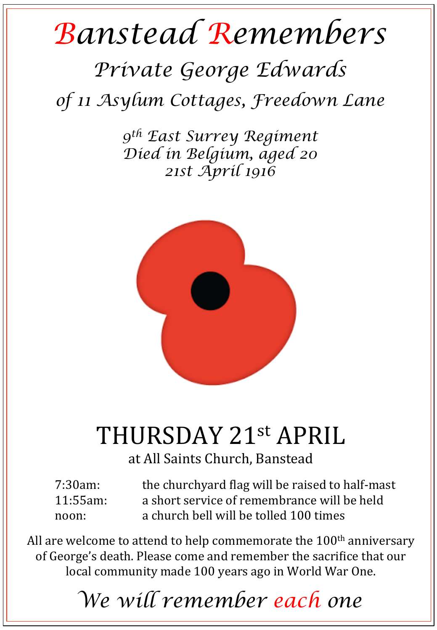## *Banstead Remembers*

## *Private George Edwards*

*of 11 Asylum Cottages, Freedown Lane* 

*9th East Surrey Regiment Died in Belgium, aged 20 21st April 1916* 



## THURSDAY 21st APRIL

at All Saints Church, Banstead

| $7:30am$ :  | the churchyard flag will be raised to half-mast |
|-------------|-------------------------------------------------|
| $11:55am$ : | a short service of remembrance will be held     |
| noon:       | a church bell will be tolled 100 times          |

All are welcome to attend to help commemorate the  $100<sup>th</sup>$  anniversary of George's death. Please come and remember the sacrifice that our local community made 100 years ago in World War One.

*We will remember each one*